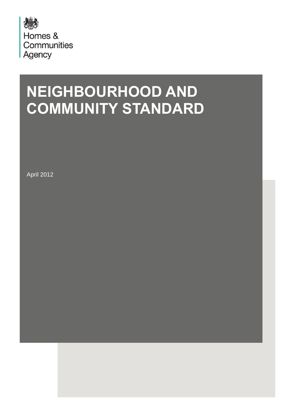

# **NEIGHBOURHOOD AND COMMUNITY STANDARD**

April 2012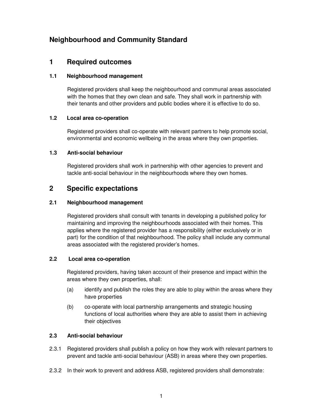## **Neighbourhood and Community Standard**

## **1 Required outcomes**

#### **1.1 Neighbourhood management**

Registered providers shall keep the neighbourhood and communal areas associated with the homes that they own clean and safe. They shall work in partnership with their tenants and other providers and public bodies where it is effective to do so.

#### **1.2 Local area co-operation**

Registered providers shall co-operate with relevant partners to help promote social, environmental and economic wellbeing in the areas where they own properties.

#### **1.3 Anti-social behaviour**

Registered providers shall work in partnership with other agencies to prevent and tackle anti-social behaviour in the neighbourhoods where they own homes.

## **2 Specific expectations**

#### **2.1 Neighbourhood management**

Registered providers shall consult with tenants in developing a published policy for maintaining and improving the neighbourhoods associated with their homes. This applies where the registered provider has a responsibility (either exclusively or in part) for the condition of that neighbourhood. The policy shall include any communal areas associated with the registered provider's homes.

#### **2.2 Local area co-operation**

Registered providers, having taken account of their presence and impact within the areas where they own properties, shall:

- (a) identify and publish the roles they are able to play within the areas where they have properties
- (b) co-operate with local partnership arrangements and strategic housing functions of local authorities where they are able to assist them in achieving their objectives

#### **2.3 Anti-social behaviour**

- 2.3.1 Registered providers shall publish a policy on how they work with relevant partners to prevent and tackle anti-social behaviour (ASB) in areas where they own properties.
- 2.3.2 In their work to prevent and address ASB, registered providers shall demonstrate: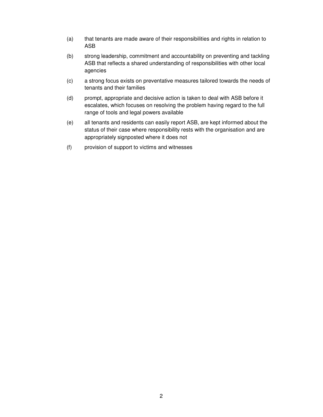- (a) that tenants are made aware of their responsibilities and rights in relation to ASB
- (b) strong leadership, commitment and accountability on preventing and tackling ASB that reflects a shared understanding of responsibilities with other local agencies
- (c) a strong focus exists on preventative measures tailored towards the needs of tenants and their families
- (d) prompt, appropriate and decisive action is taken to deal with ASB before it escalates, which focuses on resolving the problem having regard to the full range of tools and legal powers available
- (e) all tenants and residents can easily report ASB, are kept informed about the status of their case where responsibility rests with the organisation and are appropriately signposted where it does not
- (f) provision of support to victims and witnesses